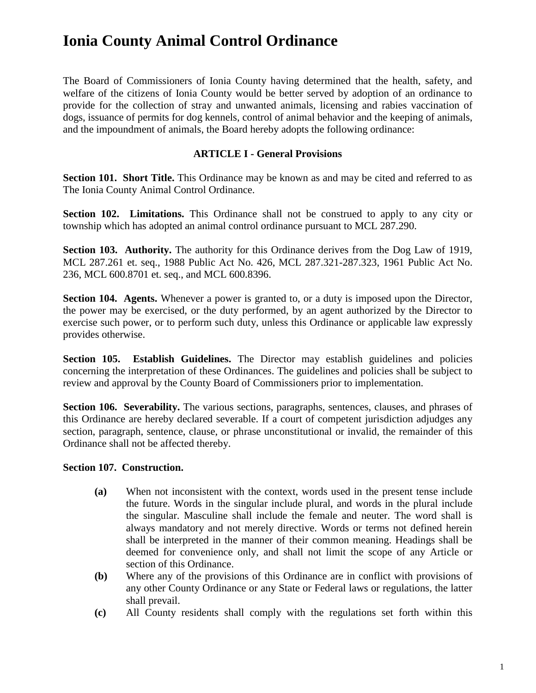The Board of Commissioners of Ionia County having determined that the health, safety, and welfare of the citizens of Ionia County would be better served by adoption of an ordinance to provide for the collection of stray and unwanted animals, licensing and rabies vaccination of dogs, issuance of permits for dog kennels, control of animal behavior and the keeping of animals, and the impoundment of animals, the Board hereby adopts the following ordinance:

### **ARTICLE I - General Provisions**

**Section 101. Short Title.** This Ordinance may be known as and may be cited and referred to as The Ionia County Animal Control Ordinance.

**Section 102. Limitations.** This Ordinance shall not be construed to apply to any city or township which has adopted an animal control ordinance pursuant to MCL 287.290.

**Section 103. Authority.** The authority for this Ordinance derives from the Dog Law of 1919, MCL 287.261 et. seq., 1988 Public Act No. 426, MCL 287.321-287.323, 1961 Public Act No. 236, MCL 600.8701 et. seq., and MCL 600.8396.

Section 104. Agents. Whenever a power is granted to, or a duty is imposed upon the Director, the power may be exercised, or the duty performed, by an agent authorized by the Director to exercise such power, or to perform such duty, unless this Ordinance or applicable law expressly provides otherwise.

**Section 105. Establish Guidelines.** The Director may establish guidelines and policies concerning the interpretation of these Ordinances. The guidelines and policies shall be subject to review and approval by the County Board of Commissioners prior to implementation.

**Section 106. Severability.** The various sections, paragraphs, sentences, clauses, and phrases of this Ordinance are hereby declared severable. If a court of competent jurisdiction adjudges any section, paragraph, sentence, clause, or phrase unconstitutional or invalid, the remainder of this Ordinance shall not be affected thereby.

#### **Section 107. Construction.**

- **(a)** When not inconsistent with the context, words used in the present tense include the future. Words in the singular include plural, and words in the plural include the singular. Masculine shall include the female and neuter. The word shall is always mandatory and not merely directive. Words or terms not defined herein shall be interpreted in the manner of their common meaning. Headings shall be deemed for convenience only, and shall not limit the scope of any Article or section of this Ordinance.
- **(b)** Where any of the provisions of this Ordinance are in conflict with provisions of any other County Ordinance or any State or Federal laws or regulations, the latter shall prevail.
- **(c)** All County residents shall comply with the regulations set forth within this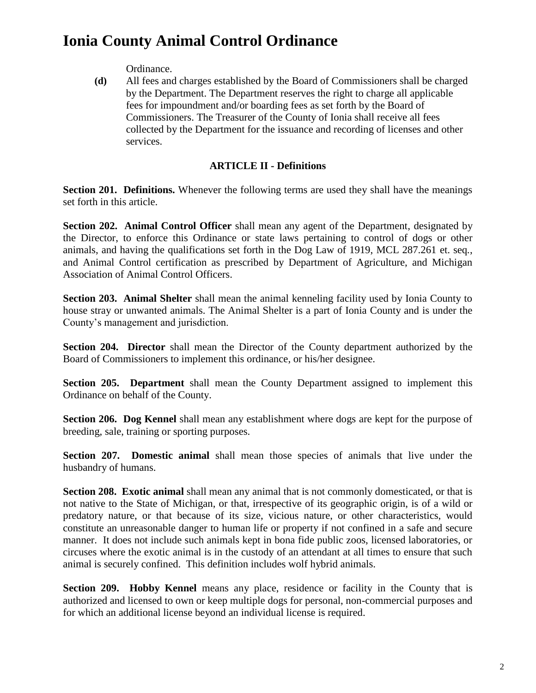Ordinance.

**(d)** All fees and charges established by the Board of Commissioners shall be charged by the Department. The Department reserves the right to charge all applicable fees for impoundment and/or boarding fees as set forth by the Board of Commissioners. The Treasurer of the County of Ionia shall receive all fees collected by the Department for the issuance and recording of licenses and other services.

### **ARTICLE II - Definitions**

**Section 201. Definitions.** Whenever the following terms are used they shall have the meanings set forth in this article.

**Section 202. Animal Control Officer** shall mean any agent of the Department, designated by the Director, to enforce this Ordinance or state laws pertaining to control of dogs or other animals, and having the qualifications set forth in the Dog Law of 1919, MCL 287.261 et. seq*.*, and Animal Control certification as prescribed by Department of Agriculture, and Michigan Association of Animal Control Officers.

**Section 203. Animal Shelter** shall mean the animal kenneling facility used by Ionia County to house stray or unwanted animals. The Animal Shelter is a part of Ionia County and is under the County's management and jurisdiction.

**Section 204. Director** shall mean the Director of the County department authorized by the Board of Commissioners to implement this ordinance, or his/her designee.

**Section 205. Department** shall mean the County Department assigned to implement this Ordinance on behalf of the County.

**Section 206. Dog Kennel** shall mean any establishment where dogs are kept for the purpose of breeding, sale, training or sporting purposes.

**Section 207. Domestic animal** shall mean those species of animals that live under the husbandry of humans.

**Section 208. Exotic animal** shall mean any animal that is not commonly domesticated, or that is not native to the State of Michigan, or that, irrespective of its geographic origin, is of a wild or predatory nature, or that because of its size, vicious nature, or other characteristics, would constitute an unreasonable danger to human life or property if not confined in a safe and secure manner. It does not include such animals kept in bona fide public zoos, licensed laboratories, or circuses where the exotic animal is in the custody of an attendant at all times to ensure that such animal is securely confined. This definition includes wolf hybrid animals.

**Section 209. Hobby Kennel** means any place, residence or facility in the County that is authorized and licensed to own or keep multiple dogs for personal, non-commercial purposes and for which an additional license beyond an individual license is required.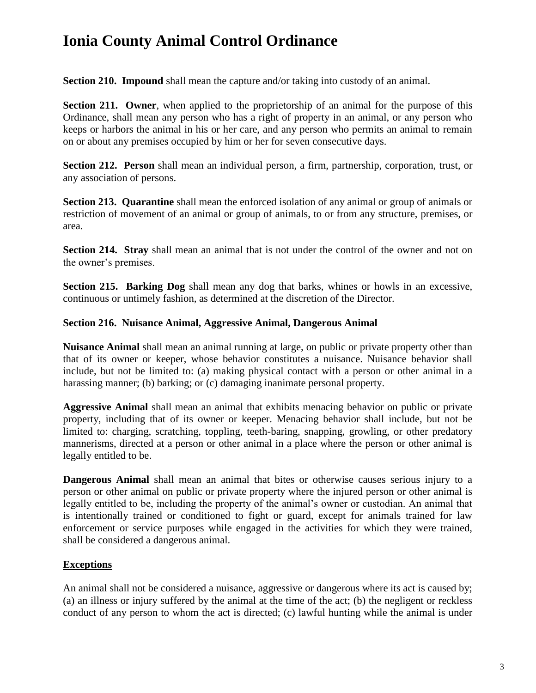**Section 210. Impound** shall mean the capture and/or taking into custody of an animal.

**Section 211. Owner**, when applied to the proprietorship of an animal for the purpose of this Ordinance, shall mean any person who has a right of property in an animal, or any person who keeps or harbors the animal in his or her care, and any person who permits an animal to remain on or about any premises occupied by him or her for seven consecutive days.

**Section 212. Person** shall mean an individual person, a firm, partnership, corporation, trust, or any association of persons.

**Section 213. Quarantine** shall mean the enforced isolation of any animal or group of animals or restriction of movement of an animal or group of animals, to or from any structure, premises, or area.

**Section 214. Stray** shall mean an animal that is not under the control of the owner and not on the owner's premises.

**Section 215. Barking Dog** shall mean any dog that barks, whines or howls in an excessive, continuous or untimely fashion, as determined at the discretion of the Director.

#### **Section 216. Nuisance Animal, Aggressive Animal, Dangerous Animal**

**Nuisance Animal** shall mean an animal running at large, on public or private property other than that of its owner or keeper, whose behavior constitutes a nuisance. Nuisance behavior shall include, but not be limited to: (a) making physical contact with a person or other animal in a harassing manner; (b) barking; or (c) damaging inanimate personal property.

**Aggressive Animal** shall mean an animal that exhibits menacing behavior on public or private property, including that of its owner or keeper. Menacing behavior shall include, but not be limited to: charging, scratching, toppling, teeth-baring, snapping, growling, or other predatory mannerisms, directed at a person or other animal in a place where the person or other animal is legally entitled to be.

**Dangerous Animal** shall mean an animal that bites or otherwise causes serious injury to a person or other animal on public or private property where the injured person or other animal is legally entitled to be, including the property of the animal's owner or custodian. An animal that is intentionally trained or conditioned to fight or guard, except for animals trained for law enforcement or service purposes while engaged in the activities for which they were trained, shall be considered a dangerous animal.

#### **Exceptions**

An animal shall not be considered a nuisance, aggressive or dangerous where its act is caused by; (a) an illness or injury suffered by the animal at the time of the act; (b) the negligent or reckless conduct of any person to whom the act is directed; (c) lawful hunting while the animal is under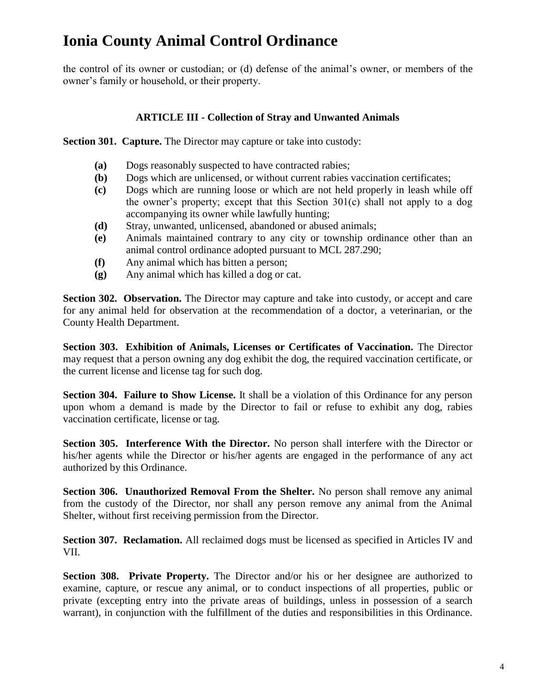the control of its owner or custodian; or (d) defense of the animal's owner, or members of the owner's family or household, or their property.

### **ARTICLE III - Collection of Stray and Unwanted Animals**

**Section 301. Capture.** The Director may capture or take into custody:

- **(a)** Dogs reasonably suspected to have contracted rabies;
- **(b)** Dogs which are unlicensed, or without current rabies vaccination certificates;
- **(c)** Dogs which are running loose or which are not held properly in leash while off the owner's property; except that this Section 301(c) shall not apply to a dog accompanying its owner while lawfully hunting;
- **(d)** Stray, unwanted, unlicensed, abandoned or abused animals;
- **(e)** Animals maintained contrary to any city or township ordinance other than an animal control ordinance adopted pursuant to MCL 287.290;
- **(f)** Any animal which has bitten a person;
- **(g)** Any animal which has killed a dog or cat.

Section 302. Observation. The Director may capture and take into custody, or accept and care for any animal held for observation at the recommendation of a doctor, a veterinarian, or the County Health Department.

**Section 303. Exhibition of Animals, Licenses or Certificates of Vaccination.** The Director may request that a person owning any dog exhibit the dog, the required vaccination certificate, or the current license and license tag for such dog.

**Section 304. Failure to Show License.** It shall be a violation of this Ordinance for any person upon whom a demand is made by the Director to fail or refuse to exhibit any dog, rabies vaccination certificate, license or tag.

**Section 305. Interference With the Director.** No person shall interfere with the Director or his/her agents while the Director or his/her agents are engaged in the performance of any act authorized by this Ordinance.

**Section 306. Unauthorized Removal From the Shelter.** No person shall remove any animal from the custody of the Director, nor shall any person remove any animal from the Animal Shelter, without first receiving permission from the Director.

**Section 307. Reclamation.** All reclaimed dogs must be licensed as specified in Articles IV and VII.

**Section 308. Private Property.** The Director and/or his or her designee are authorized to examine, capture, or rescue any animal, or to conduct inspections of all properties, public or private (excepting entry into the private areas of buildings, unless in possession of a search warrant), in conjunction with the fulfillment of the duties and responsibilities in this Ordinance.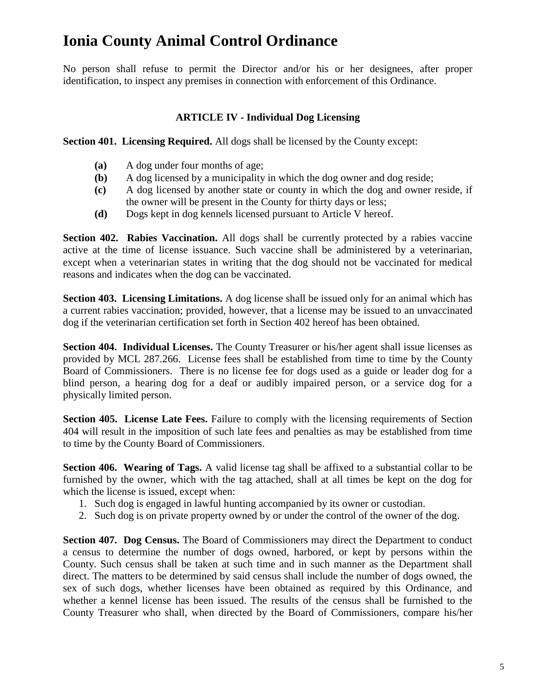No person shall refuse to permit the Director and/or his or her designees, after proper identification, to inspect any premises in connection with enforcement of this Ordinance.

### **ARTICLE IV - Individual Dog Licensing**

**Section 401. Licensing Required.** All dogs shall be licensed by the County except:

- **(a)** A dog under four months of age;
- **(b)** A dog licensed by a municipality in which the dog owner and dog reside;
- **(c)** A dog licensed by another state or county in which the dog and owner reside, if the owner will be present in the County for thirty days or less;
- **(d)** Dogs kept in dog kennels licensed pursuant to Article V hereof.

**Section 402. Rabies Vaccination.** All dogs shall be currently protected by a rabies vaccine active at the time of license issuance. Such vaccine shall be administered by a veterinarian, except when a veterinarian states in writing that the dog should not be vaccinated for medical reasons and indicates when the dog can be vaccinated.

**Section 403. Licensing Limitations.** A dog license shall be issued only for an animal which has a current rabies vaccination; provided, however, that a license may be issued to an unvaccinated dog if the veterinarian certification set forth in Section 402 hereof has been obtained.

**Section 404. Individual Licenses.** The County Treasurer or his/her agent shall issue licenses as provided by MCL 287.266. License fees shall be established from time to time by the County Board of Commissioners. There is no license fee for dogs used as a guide or leader dog for a blind person, a hearing dog for a deaf or audibly impaired person, or a service dog for a physically limited person.

**Section 405. License Late Fees.** Failure to comply with the licensing requirements of Section 404 will result in the imposition of such late fees and penalties as may be established from time to time by the County Board of Commissioners.

**Section 406. Wearing of Tags.** A valid license tag shall be affixed to a substantial collar to be furnished by the owner, which with the tag attached, shall at all times be kept on the dog for which the license is issued, except when:

- 1. Such dog is engaged in lawful hunting accompanied by its owner or custodian.
- 2. Such dog is on private property owned by or under the control of the owner of the dog.

**Section 407. Dog Census.** The Board of Commissioners may direct the Department to conduct a census to determine the number of dogs owned, harbored, or kept by persons within the County. Such census shall be taken at such time and in such manner as the Department shall direct. The matters to be determined by said census shall include the number of dogs owned, the sex of such dogs, whether licenses have been obtained as required by this Ordinance, and whether a kennel license has been issued. The results of the census shall be furnished to the County Treasurer who shall, when directed by the Board of Commissioners, compare his/her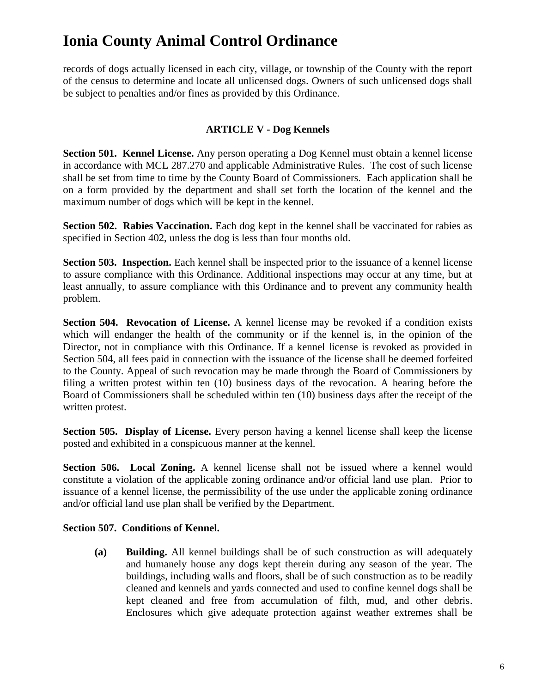records of dogs actually licensed in each city, village, or township of the County with the report of the census to determine and locate all unlicensed dogs. Owners of such unlicensed dogs shall be subject to penalties and/or fines as provided by this Ordinance.

### **ARTICLE V - Dog Kennels**

**Section 501. Kennel License.** Any person operating a Dog Kennel must obtain a kennel license in accordance with MCL 287.270 and applicable Administrative Rules. The cost of such license shall be set from time to time by the County Board of Commissioners. Each application shall be on a form provided by the department and shall set forth the location of the kennel and the maximum number of dogs which will be kept in the kennel.

**Section 502. Rabies Vaccination.** Each dog kept in the kennel shall be vaccinated for rabies as specified in Section 402, unless the dog is less than four months old.

**Section 503. Inspection.** Each kennel shall be inspected prior to the issuance of a kennel license to assure compliance with this Ordinance. Additional inspections may occur at any time, but at least annually, to assure compliance with this Ordinance and to prevent any community health problem.

**Section 504. Revocation of License.** A kennel license may be revoked if a condition exists which will endanger the health of the community or if the kennel is, in the opinion of the Director, not in compliance with this Ordinance. If a kennel license is revoked as provided in Section 504, all fees paid in connection with the issuance of the license shall be deemed forfeited to the County. Appeal of such revocation may be made through the Board of Commissioners by filing a written protest within ten (10) business days of the revocation. A hearing before the Board of Commissioners shall be scheduled within ten (10) business days after the receipt of the written protest.

**Section 505. Display of License.** Every person having a kennel license shall keep the license posted and exhibited in a conspicuous manner at the kennel.

**Section 506. Local Zoning.** A kennel license shall not be issued where a kennel would constitute a violation of the applicable zoning ordinance and/or official land use plan. Prior to issuance of a kennel license, the permissibility of the use under the applicable zoning ordinance and/or official land use plan shall be verified by the Department.

#### **Section 507. Conditions of Kennel.**

**(a) Building.** All kennel buildings shall be of such construction as will adequately and humanely house any dogs kept therein during any season of the year. The buildings, including walls and floors, shall be of such construction as to be readily cleaned and kennels and yards connected and used to confine kennel dogs shall be kept cleaned and free from accumulation of filth, mud, and other debris. Enclosures which give adequate protection against weather extremes shall be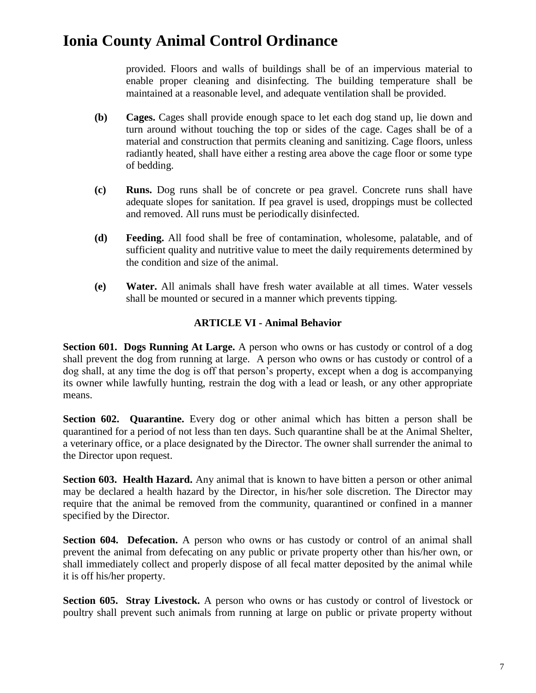provided. Floors and walls of buildings shall be of an impervious material to enable proper cleaning and disinfecting. The building temperature shall be maintained at a reasonable level, and adequate ventilation shall be provided.

- **(b) Cages.** Cages shall provide enough space to let each dog stand up, lie down and turn around without touching the top or sides of the cage. Cages shall be of a material and construction that permits cleaning and sanitizing. Cage floors, unless radiantly heated, shall have either a resting area above the cage floor or some type of bedding.
- **(c) Runs.** Dog runs shall be of concrete or pea gravel. Concrete runs shall have adequate slopes for sanitation. If pea gravel is used, droppings must be collected and removed. All runs must be periodically disinfected.
- **(d) Feeding.** All food shall be free of contamination, wholesome, palatable, and of sufficient quality and nutritive value to meet the daily requirements determined by the condition and size of the animal.
- **(e) Water.** All animals shall have fresh water available at all times. Water vessels shall be mounted or secured in a manner which prevents tipping.

### **ARTICLE VI - Animal Behavior**

**Section 601. Dogs Running At Large.** A person who owns or has custody or control of a dog shall prevent the dog from running at large. A person who owns or has custody or control of a dog shall, at any time the dog is off that person's property, except when a dog is accompanying its owner while lawfully hunting, restrain the dog with a lead or leash, or any other appropriate means.

**Section 602. Quarantine.** Every dog or other animal which has bitten a person shall be quarantined for a period of not less than ten days. Such quarantine shall be at the Animal Shelter, a veterinary office, or a place designated by the Director. The owner shall surrender the animal to the Director upon request.

**Section 603. Health Hazard.** Any animal that is known to have bitten a person or other animal may be declared a health hazard by the Director, in his/her sole discretion. The Director may require that the animal be removed from the community, quarantined or confined in a manner specified by the Director.

**Section 604. Defecation.** A person who owns or has custody or control of an animal shall prevent the animal from defecating on any public or private property other than his/her own, or shall immediately collect and properly dispose of all fecal matter deposited by the animal while it is off his/her property.

**Section 605. Stray Livestock.** A person who owns or has custody or control of livestock or poultry shall prevent such animals from running at large on public or private property without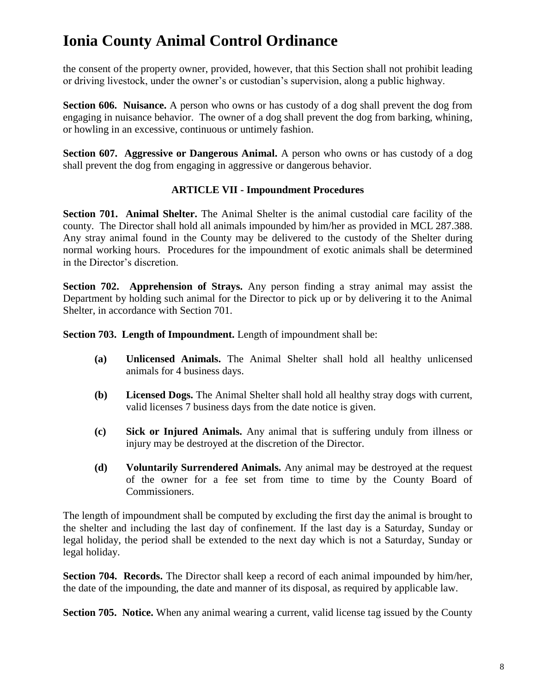the consent of the property owner, provided, however, that this Section shall not prohibit leading or driving livestock, under the owner's or custodian's supervision, along a public highway.

**Section 606. Nuisance.** A person who owns or has custody of a dog shall prevent the dog from engaging in nuisance behavior. The owner of a dog shall prevent the dog from barking, whining, or howling in an excessive, continuous or untimely fashion.

**Section 607. Aggressive or Dangerous Animal.** A person who owns or has custody of a dog shall prevent the dog from engaging in aggressive or dangerous behavior.

### **ARTICLE VII - Impoundment Procedures**

**Section 701. Animal Shelter.** The Animal Shelter is the animal custodial care facility of the county. The Director shall hold all animals impounded by him/her as provided in MCL 287.388. Any stray animal found in the County may be delivered to the custody of the Shelter during normal working hours. Procedures for the impoundment of exotic animals shall be determined in the Director's discretion.

**Section 702. Apprehension of Strays.** Any person finding a stray animal may assist the Department by holding such animal for the Director to pick up or by delivering it to the Animal Shelter, in accordance with Section 701.

**Section 703. Length of Impoundment.** Length of impoundment shall be:

- **(a) Unlicensed Animals.** The Animal Shelter shall hold all healthy unlicensed animals for 4 business days.
- **(b) Licensed Dogs.** The Animal Shelter shall hold all healthy stray dogs with current, valid licenses 7 business days from the date notice is given.
- **(c) Sick or Injured Animals.** Any animal that is suffering unduly from illness or injury may be destroyed at the discretion of the Director.
- **(d) Voluntarily Surrendered Animals.** Any animal may be destroyed at the request of the owner for a fee set from time to time by the County Board of Commissioners.

The length of impoundment shall be computed by excluding the first day the animal is brought to the shelter and including the last day of confinement. If the last day is a Saturday, Sunday or legal holiday, the period shall be extended to the next day which is not a Saturday, Sunday or legal holiday.

**Section 704. Records.** The Director shall keep a record of each animal impounded by him/her, the date of the impounding, the date and manner of its disposal, as required by applicable law.

**Section 705. Notice.** When any animal wearing a current, valid license tag issued by the County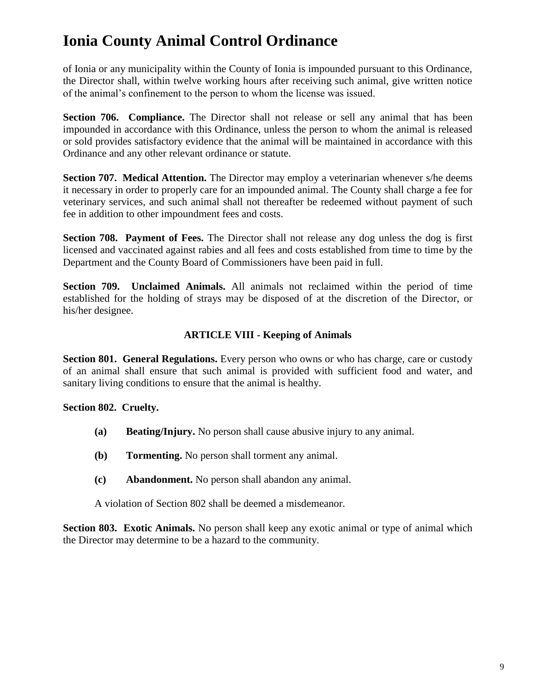of Ionia or any municipality within the County of Ionia is impounded pursuant to this Ordinance, the Director shall, within twelve working hours after receiving such animal, give written notice of the animal's confinement to the person to whom the license was issued.

**Section 706. Compliance.** The Director shall not release or sell any animal that has been impounded in accordance with this Ordinance, unless the person to whom the animal is released or sold provides satisfactory evidence that the animal will be maintained in accordance with this Ordinance and any other relevant ordinance or statute.

**Section 707. Medical Attention.** The Director may employ a veterinarian whenever s/he deems it necessary in order to properly care for an impounded animal. The County shall charge a fee for veterinary services, and such animal shall not thereafter be redeemed without payment of such fee in addition to other impoundment fees and costs.

**Section 708. Payment of Fees.** The Director shall not release any dog unless the dog is first licensed and vaccinated against rabies and all fees and costs established from time to time by the Department and the County Board of Commissioners have been paid in full.

**Section 709. Unclaimed Animals.** All animals not reclaimed within the period of time established for the holding of strays may be disposed of at the discretion of the Director, or his/her designee.

### **ARTICLE VIII - Keeping of Animals**

**Section 801. General Regulations.** Every person who owns or who has charge, care or custody of an animal shall ensure that such animal is provided with sufficient food and water, and sanitary living conditions to ensure that the animal is healthy.

#### **Section 802. Cruelty.**

- **(a) Beating/Injury.** No person shall cause abusive injury to any animal.
- **(b) Tormenting.** No person shall torment any animal.
- **(c) Abandonment.** No person shall abandon any animal.

A violation of Section 802 shall be deemed a misdemeanor.

**Section 803. Exotic Animals.** No person shall keep any exotic animal or type of animal which the Director may determine to be a hazard to the community.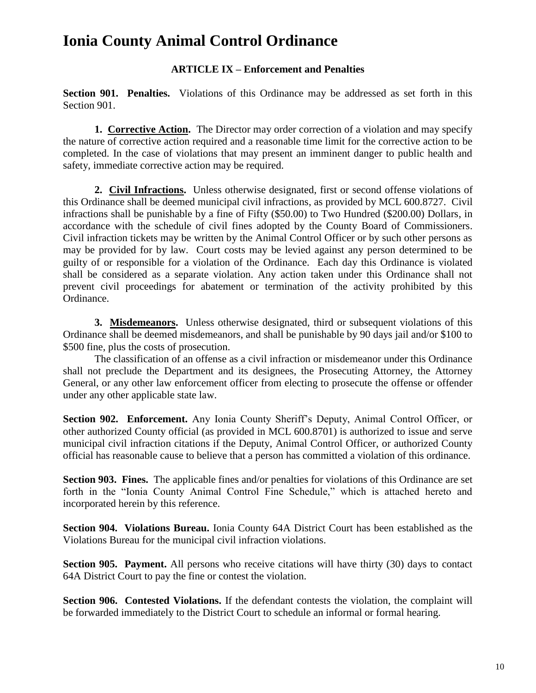### **ARTICLE IX – Enforcement and Penalties**

**Section 901. Penalties.** Violations of this Ordinance may be addressed as set forth in this Section 901.

**1. Corrective Action.** The Director may order correction of a violation and may specify the nature of corrective action required and a reasonable time limit for the corrective action to be completed. In the case of violations that may present an imminent danger to public health and safety, immediate corrective action may be required.

**2. Civil Infractions.** Unless otherwise designated, first or second offense violations of this Ordinance shall be deemed municipal civil infractions, as provided by MCL 600.8727. Civil infractions shall be punishable by a fine of Fifty (\$50.00) to Two Hundred (\$200.00) Dollars, in accordance with the schedule of civil fines adopted by the County Board of Commissioners. Civil infraction tickets may be written by the Animal Control Officer or by such other persons as may be provided for by law. Court costs may be levied against any person determined to be guilty of or responsible for a violation of the Ordinance. Each day this Ordinance is violated shall be considered as a separate violation. Any action taken under this Ordinance shall not prevent civil proceedings for abatement or termination of the activity prohibited by this Ordinance.

**3. Misdemeanors.** Unless otherwise designated, third or subsequent violations of this Ordinance shall be deemed misdemeanors, and shall be punishable by 90 days jail and/or \$100 to \$500 fine, plus the costs of prosecution.

The classification of an offense as a civil infraction or misdemeanor under this Ordinance shall not preclude the Department and its designees, the Prosecuting Attorney, the Attorney General, or any other law enforcement officer from electing to prosecute the offense or offender under any other applicable state law.

**Section 902. Enforcement.** Any Ionia County Sheriff's Deputy, Animal Control Officer, or other authorized County official (as provided in MCL 600.8701) is authorized to issue and serve municipal civil infraction citations if the Deputy, Animal Control Officer, or authorized County official has reasonable cause to believe that a person has committed a violation of this ordinance.

**Section 903. Fines.** The applicable fines and/or penalties for violations of this Ordinance are set forth in the "Ionia County Animal Control Fine Schedule," which is attached hereto and incorporated herein by this reference.

**Section 904. Violations Bureau.** Ionia County 64A District Court has been established as the Violations Bureau for the municipal civil infraction violations.

**Section 905. Payment.** All persons who receive citations will have thirty (30) days to contact 64A District Court to pay the fine or contest the violation.

**Section 906. Contested Violations.** If the defendant contests the violation, the complaint will be forwarded immediately to the District Court to schedule an informal or formal hearing.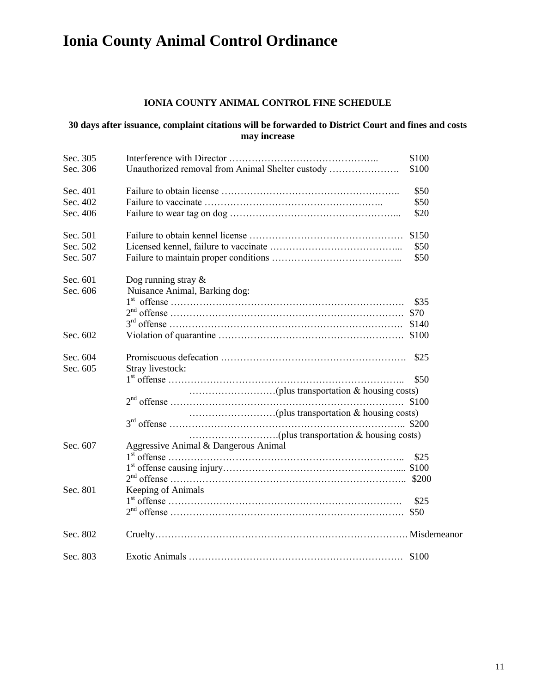### **IONIA COUNTY ANIMAL CONTROL FINE SCHEDULE**

#### **30 days after issuance, complaint citations will be forwarded to District Court and fines and costs may increase**

| Sec. 305 |                                                  | \$100 |
|----------|--------------------------------------------------|-------|
| Sec. 306 | Unauthorized removal from Animal Shelter custody | \$100 |
| Sec. 401 |                                                  | \$50  |
| Sec. 402 |                                                  | \$50  |
| Sec. 406 |                                                  | \$20  |
| Sec. 501 |                                                  | \$150 |
| Sec. 502 |                                                  | \$50  |
| Sec. 507 |                                                  | \$50  |
| Sec. 601 | Dog running stray $\&$                           |       |
| Sec. 606 | Nuisance Animal, Barking dog:                    |       |
|          |                                                  | \$35  |
|          |                                                  |       |
|          |                                                  |       |
| Sec. 602 |                                                  |       |
| Sec. 604 |                                                  | \$25  |
| Sec. 605 | Stray livestock:                                 |       |
|          |                                                  | \$50  |
|          |                                                  |       |
|          |                                                  | \$100 |
|          |                                                  |       |
|          |                                                  | \$200 |
|          |                                                  |       |
| Sec. 607 | Aggressive Animal & Dangerous Animal             |       |
|          |                                                  | \$25  |
|          |                                                  |       |
|          |                                                  |       |
| Sec. 801 | Keeping of Animals                               |       |
|          |                                                  | \$25  |
|          |                                                  |       |
| Sec. 802 |                                                  |       |
| Sec. 803 |                                                  |       |
|          |                                                  |       |